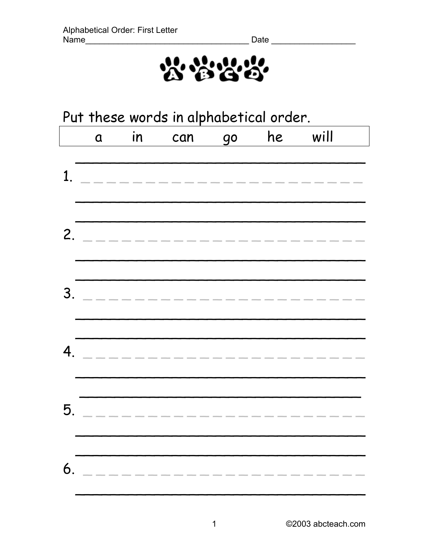

| Put these words in alphabetical order. |             |    |                    |    |    |      |
|----------------------------------------|-------------|----|--------------------|----|----|------|
|                                        | $\mathbf 0$ | in | can                | 90 | he | will |
| $\mathbf 1$ .                          |             |    | ---------------    |    |    |      |
|                                        |             |    | 2. _____________   |    |    |      |
|                                        |             |    | 3. _______________ |    |    |      |
| $\mathbf{4}_{\cdot}$                   |             |    | _____________      |    |    |      |
| 5.                                     |             |    |                    |    |    |      |
| 6.                                     |             |    |                    |    |    |      |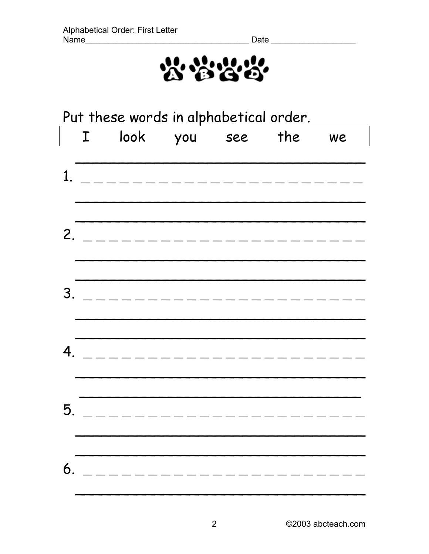

| Put these words in alphabetical order. |   |                     |     |     |     |    |
|----------------------------------------|---|---------------------|-----|-----|-----|----|
|                                        | I | look                | you | see | the | we |
|                                        |   |                     |     |     |     |    |
| $\mathbf 1$                            |   | ___________________ |     |     |     |    |
|                                        |   |                     |     |     |     |    |
|                                        |   |                     |     |     |     |    |
|                                        |   | 2. ______________   |     |     |     |    |
|                                        |   |                     |     |     |     |    |
|                                        |   |                     |     |     |     |    |
|                                        |   | 3. ________________ |     |     |     |    |
|                                        |   |                     |     |     |     |    |
| $\mathbf{4}_{\cdot}$                   |   |                     |     |     |     |    |
|                                        |   | ---------------     |     |     |     |    |
|                                        |   |                     |     |     |     |    |
| 5.                                     |   |                     |     |     |     |    |
|                                        |   |                     |     |     |     |    |
|                                        |   |                     |     |     |     |    |
| 6.                                     |   |                     |     |     |     |    |
|                                        |   |                     |     |     |     |    |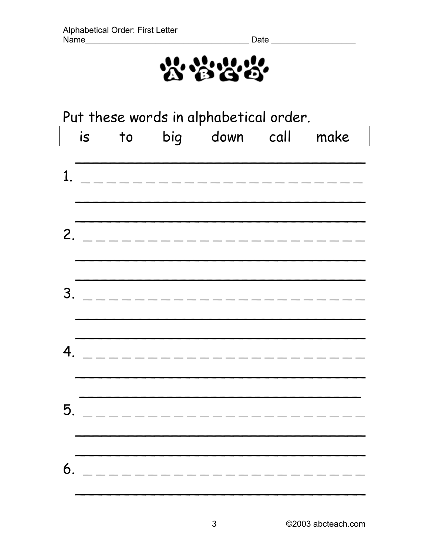

| Put these words in alphabetical order. |    |    |                    |                        |  |      |
|----------------------------------------|----|----|--------------------|------------------------|--|------|
|                                        | is | to |                    | big down call          |  | make |
| $\mathbf{1}_{\cdot}$                   |    |    | ______________     |                        |  |      |
|                                        |    |    | 2. _______________ |                        |  |      |
|                                        |    |    |                    |                        |  |      |
| $4_{.}$                                |    |    | ____________       |                        |  |      |
| 5                                      |    |    |                    | ---------------------- |  |      |
| 6.                                     |    |    |                    |                        |  |      |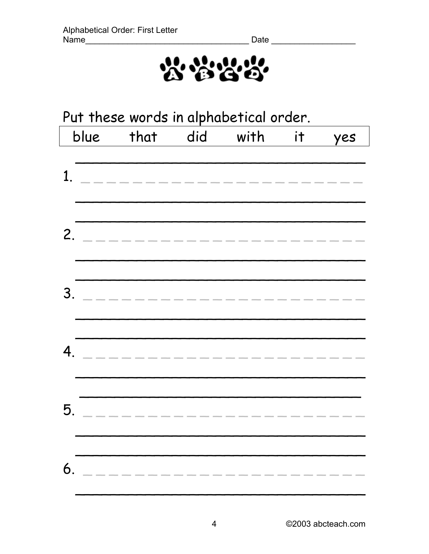

|                  | Put these words in alphabetical order. |                         |          |  |                                                                 |     |  |
|------------------|----------------------------------------|-------------------------|----------|--|-----------------------------------------------------------------|-----|--|
|                  | blue                                   | that                    | did with |  | <b>it</b>                                                       | yes |  |
| $\mathbf{1}$ .   |                                        | ----------------        |          |  |                                                                 |     |  |
|                  |                                        | 2. ______________       |          |  |                                                                 |     |  |
| 3.               |                                        | _____________           |          |  |                                                                 |     |  |
| $\boldsymbol{4}$ |                                        | --------------          |          |  |                                                                 |     |  |
| 5.               |                                        | . _ _ _ _ _ _ _ _ _ _ _ |          |  | $\qquad \qquad \  \  \, -\qquad \qquad -\qquad -\qquad -\qquad$ |     |  |
| 6.               |                                        | ____________            |          |  |                                                                 |     |  |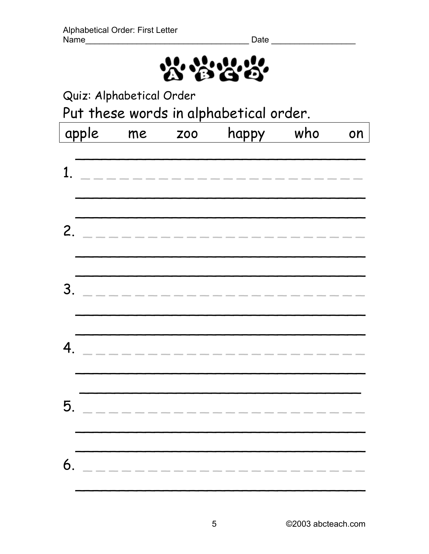

Quiz: Alphabetical Order

Put these words in alphabetical order.

|                | apple | me | <b>ZOO</b> | happy                 | who | on |
|----------------|-------|----|------------|-----------------------|-----|----|
| 1.             |       |    |            | --------------------- |     |    |
| 2.             |       |    |            | --------------------- |     |    |
| 3.             |       |    |            | _____________________ |     |    |
| 4 <sub>1</sub> |       |    |            |                       |     |    |
| 5.             |       |    |            | _____________________ |     |    |
| 6.             |       |    |            | ________________      |     |    |